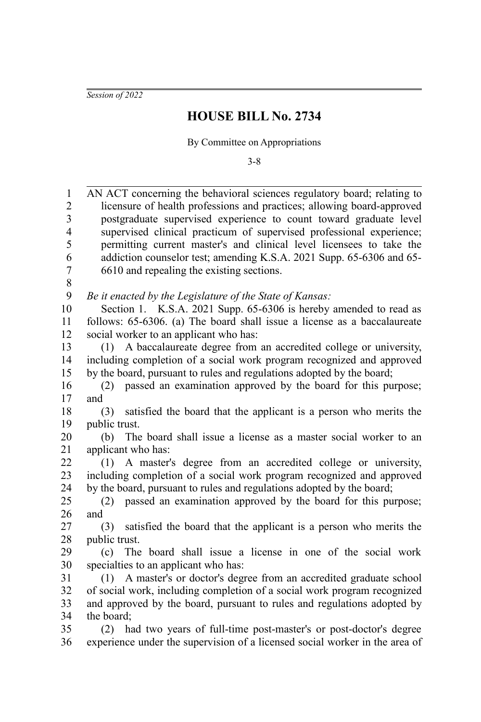*Session of 2022*

## **HOUSE BILL No. 2734**

By Committee on Appropriations

3-8

| 1              | AN ACT concerning the behavioral sciences regulatory board; relating to     |
|----------------|-----------------------------------------------------------------------------|
| $\overline{c}$ | licensure of health professions and practices; allowing board-approved      |
| $\overline{3}$ | postgraduate supervised experience to count toward graduate level           |
| $\overline{4}$ | supervised clinical practicum of supervised professional experience;        |
| 5              | permitting current master's and clinical level licensees to take the        |
| 6              | addiction counselor test; amending K.S.A. 2021 Supp. 65-6306 and 65-        |
| $\overline{7}$ | 6610 and repealing the existing sections.                                   |
| $\,$ 8 $\,$    |                                                                             |
| 9              | Be it enacted by the Legislature of the State of Kansas:                    |
| 10             | Section 1. K.S.A. 2021 Supp. 65-6306 is hereby amended to read as           |
| 11             | follows: 65-6306. (a) The board shall issue a license as a baccalaureate    |
| 12             | social worker to an applicant who has:                                      |
| 13             | A baccalaureate degree from an accredited college or university,<br>(1)     |
| 14             | including completion of a social work program recognized and approved       |
| 15             | by the board, pursuant to rules and regulations adopted by the board;       |
| 16             | passed an examination approved by the board for this purpose;<br>(2)        |
| 17             | and                                                                         |
| 18             | satisfied the board that the applicant is a person who merits the<br>(3)    |
| 19             | public trust.                                                               |
| 20             | The board shall issue a license as a master social worker to an<br>(b)      |
| 21             | applicant who has:                                                          |
| 22             | (1) A master's degree from an accredited college or university,             |
| 23             | including completion of a social work program recognized and approved       |
| 24             | by the board, pursuant to rules and regulations adopted by the board;       |
| 25             | passed an examination approved by the board for this purpose;<br>(2)        |
| 26             | and                                                                         |
| 27             | satisfied the board that the applicant is a person who merits the<br>(3)    |
| 28             | public trust.                                                               |
| 29             | The board shall issue a license in one of the social work<br>(c)            |
| 30             | specialties to an applicant who has:                                        |
| 31             | A master's or doctor's degree from an accredited graduate school<br>(1)     |
| 32             | of social work, including completion of a social work program recognized    |
| 33             | and approved by the board, pursuant to rules and regulations adopted by     |
| 34             | the board;                                                                  |
| 35             | had two years of full-time post-master's or post-doctor's degree<br>(2)     |
| 36             | experience under the supervision of a licensed social worker in the area of |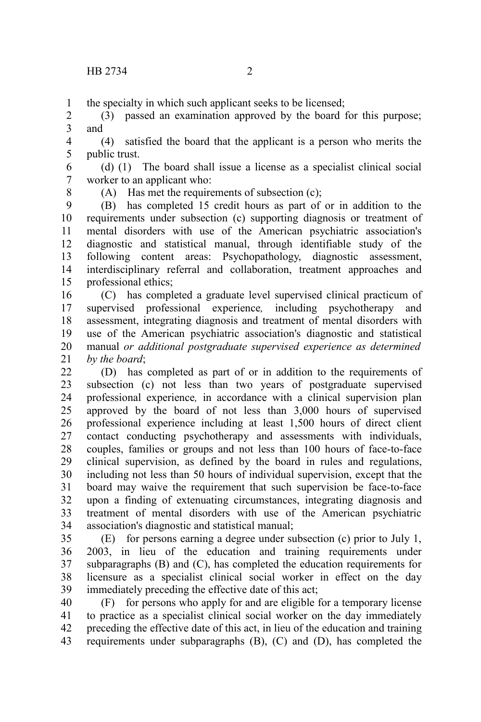the specialty in which such applicant seeks to be licensed; 1

(3) passed an examination approved by the board for this purpose; and 2 3

(4) satisfied the board that the applicant is a person who merits the public trust. 4 5

(d) (1) The board shall issue a license as a specialist clinical social worker to an applicant who: 6 7

8

(A) Has met the requirements of subsection (c);

(B) has completed 15 credit hours as part of or in addition to the requirements under subsection (c) supporting diagnosis or treatment of mental disorders with use of the American psychiatric association's diagnostic and statistical manual, through identifiable study of the following content areas: Psychopathology, diagnostic assessment, interdisciplinary referral and collaboration, treatment approaches and professional ethics; 9 10 11 12 13 14 15

(C) has completed a graduate level supervised clinical practicum of supervised professional experience*,* including psychotherapy and assessment, integrating diagnosis and treatment of mental disorders with use of the American psychiatric association's diagnostic and statistical manual *or additional postgraduate supervised experience as determined by the board*; 16 17 18 19 20 21

(D) has completed as part of or in addition to the requirements of subsection (c) not less than two years of postgraduate supervised professional experience*,* in accordance with a clinical supervision plan approved by the board of not less than 3,000 hours of supervised professional experience including at least 1,500 hours of direct client contact conducting psychotherapy and assessments with individuals, couples, families or groups and not less than 100 hours of face-to-face clinical supervision, as defined by the board in rules and regulations, including not less than 50 hours of individual supervision, except that the board may waive the requirement that such supervision be face-to-face upon a finding of extenuating circumstances, integrating diagnosis and treatment of mental disorders with use of the American psychiatric association's diagnostic and statistical manual; 22 23 24 25 26 27 28 29 30 31 32 33 34

(E) for persons earning a degree under subsection (c) prior to July 1, 2003, in lieu of the education and training requirements under subparagraphs (B) and (C), has completed the education requirements for licensure as a specialist clinical social worker in effect on the day immediately preceding the effective date of this act; 35 36 37 38 39

(F) for persons who apply for and are eligible for a temporary license to practice as a specialist clinical social worker on the day immediately preceding the effective date of this act, in lieu of the education and training requirements under subparagraphs (B), (C) and (D), has completed the 40 41 42 43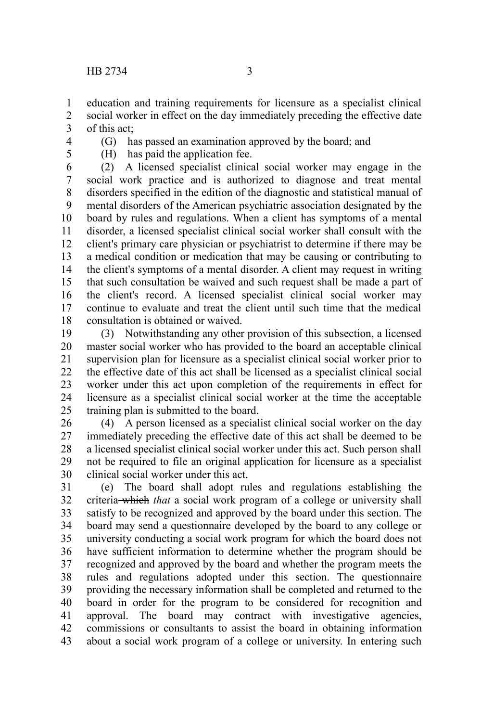education and training requirements for licensure as a specialist clinical social worker in effect on the day immediately preceding the effective date of this act; 1 2 3

- 4
- 5

(G) has passed an examination approved by the board; and

(H) has paid the application fee.

(2) A licensed specialist clinical social worker may engage in the social work practice and is authorized to diagnose and treat mental disorders specified in the edition of the diagnostic and statistical manual of mental disorders of the American psychiatric association designated by the board by rules and regulations. When a client has symptoms of a mental disorder, a licensed specialist clinical social worker shall consult with the client's primary care physician or psychiatrist to determine if there may be a medical condition or medication that may be causing or contributing to the client's symptoms of a mental disorder. A client may request in writing that such consultation be waived and such request shall be made a part of the client's record. A licensed specialist clinical social worker may continue to evaluate and treat the client until such time that the medical consultation is obtained or waived. 6 7 8 9 10 11 12 13 14 15 16 17 18

(3) Notwithstanding any other provision of this subsection, a licensed master social worker who has provided to the board an acceptable clinical supervision plan for licensure as a specialist clinical social worker prior to the effective date of this act shall be licensed as a specialist clinical social worker under this act upon completion of the requirements in effect for licensure as a specialist clinical social worker at the time the acceptable training plan is submitted to the board. 19 20 21 22 23 24 25

(4) A person licensed as a specialist clinical social worker on the day immediately preceding the effective date of this act shall be deemed to be a licensed specialist clinical social worker under this act. Such person shall not be required to file an original application for licensure as a specialist clinical social worker under this act. 26 27 28 29 30

(e) The board shall adopt rules and regulations establishing the criteria which *that* a social work program of a college or university shall satisfy to be recognized and approved by the board under this section. The board may send a questionnaire developed by the board to any college or university conducting a social work program for which the board does not have sufficient information to determine whether the program should be recognized and approved by the board and whether the program meets the rules and regulations adopted under this section. The questionnaire providing the necessary information shall be completed and returned to the board in order for the program to be considered for recognition and approval. The board may contract with investigative agencies, commissions or consultants to assist the board in obtaining information about a social work program of a college or university. In entering such 31 32 33 34 35 36 37 38 39 40 41 42 43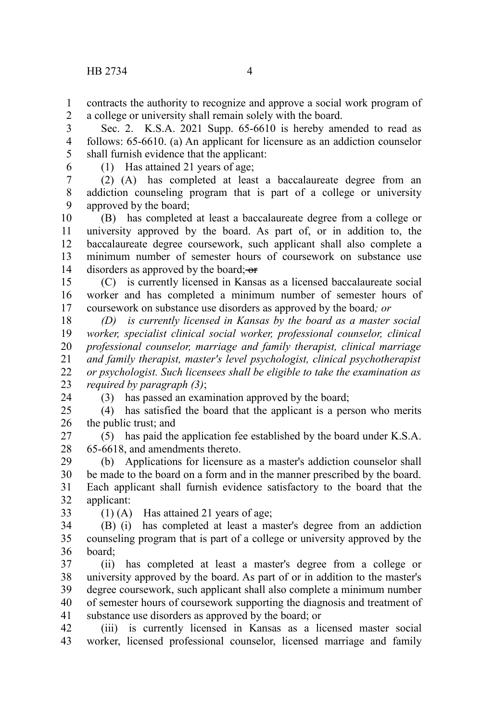contracts the authority to recognize and approve a social work program of a college or university shall remain solely with the board. 1 2

Sec. 2. K.S.A. 2021 Supp. 65-6610 is hereby amended to read as follows: 65-6610. (a) An applicant for licensure as an addiction counselor shall furnish evidence that the applicant: 3 4 5

6

(1) Has attained 21 years of age;

(2) (A) has completed at least a baccalaureate degree from an addiction counseling program that is part of a college or university approved by the board; 7 8 9

(B) has completed at least a baccalaureate degree from a college or university approved by the board. As part of, or in addition to, the baccalaureate degree coursework, such applicant shall also complete a minimum number of semester hours of coursework on substance use disorders as approved by the board;  $-$ or 10 11 12 13 14

(C) is currently licensed in Kansas as a licensed baccalaureate social worker and has completed a minimum number of semester hours of coursework on substance use disorders as approved by the board*; or* 15 16 17

*(D) is currently licensed in Kansas by the board as a master social worker, specialist clinical social worker, professional counselor, clinical professional counselor, marriage and family therapist, clinical marriage and family therapist, master's level psychologist, clinical psychotherapist or psychologist. Such licensees shall be eligible to take the examination as required by paragraph (3)*; 18 19 20 21 22 23

(3) has passed an examination approved by the board;

(4) has satisfied the board that the applicant is a person who merits the public trust; and  $25$ 26

(5) has paid the application fee established by the board under K.S.A. 65-6618, and amendments thereto. 27 28

(b) Applications for licensure as a master's addiction counselor shall be made to the board on a form and in the manner prescribed by the board. Each applicant shall furnish evidence satisfactory to the board that the applicant: 29 30 31 32

33

24

(1) (A) Has attained 21 years of age;

(B) (i) has completed at least a master's degree from an addiction counseling program that is part of a college or university approved by the board; 34 35 36

(ii) has completed at least a master's degree from a college or university approved by the board. As part of or in addition to the master's degree coursework, such applicant shall also complete a minimum number of semester hours of coursework supporting the diagnosis and treatment of substance use disorders as approved by the board; or 37 38 39 40 41

(iii) is currently licensed in Kansas as a licensed master social worker, licensed professional counselor, licensed marriage and family 42 43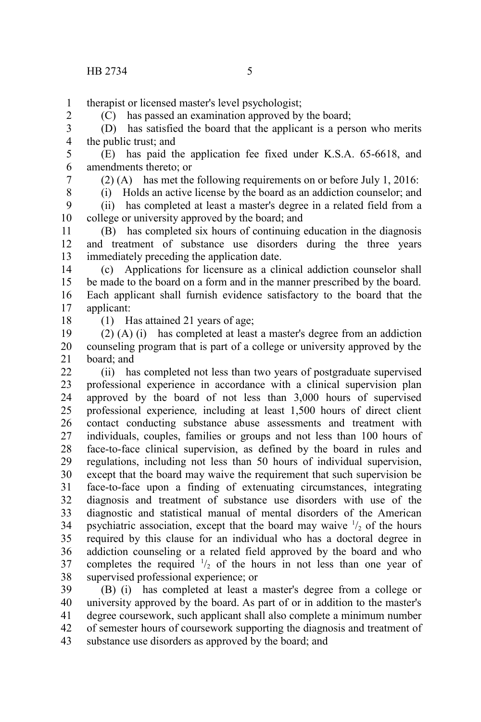therapist or licensed master's level psychologist; 1

(C) has passed an examination approved by the board;

(D) has satisfied the board that the applicant is a person who merits the public trust; and 3 4

(E) has paid the application fee fixed under K.S.A. 65-6618, and amendments thereto; or 5 6

7

2

(2) (A) has met the following requirements on or before July 1, 2016:

(i) Holds an active license by the board as an addiction counselor; and (ii) has completed at least a master's degree in a related field from a college or university approved by the board; and 8 9 10

(B) has completed six hours of continuing education in the diagnosis and treatment of substance use disorders during the three years immediately preceding the application date. 11 12 13

(c) Applications for licensure as a clinical addiction counselor shall be made to the board on a form and in the manner prescribed by the board. Each applicant shall furnish evidence satisfactory to the board that the applicant: 14 15 16 17

18

(1) Has attained 21 years of age;

(2) (A) (i) has completed at least a master's degree from an addiction counseling program that is part of a college or university approved by the board; and 19 20 21

(ii) has completed not less than two years of postgraduate supervised professional experience in accordance with a clinical supervision plan approved by the board of not less than 3,000 hours of supervised professional experience*,* including at least 1,500 hours of direct client contact conducting substance abuse assessments and treatment with individuals, couples, families or groups and not less than 100 hours of face-to-face clinical supervision, as defined by the board in rules and regulations, including not less than 50 hours of individual supervision, except that the board may waive the requirement that such supervision be face-to-face upon a finding of extenuating circumstances, integrating diagnosis and treatment of substance use disorders with use of the diagnostic and statistical manual of mental disorders of the American psychiatric association, except that the board may waive  $\frac{1}{2}$  of the hours required by this clause for an individual who has a doctoral degree in addiction counseling or a related field approved by the board and who completes the required  $\frac{1}{2}$  of the hours in not less than one year of supervised professional experience; or 22 23 24 25 26 27 28 29 30 31 32 33 34 35 36 37 38

(B) (i) has completed at least a master's degree from a college or university approved by the board. As part of or in addition to the master's degree coursework, such applicant shall also complete a minimum number of semester hours of coursework supporting the diagnosis and treatment of substance use disorders as approved by the board; and 39 40 41 42 43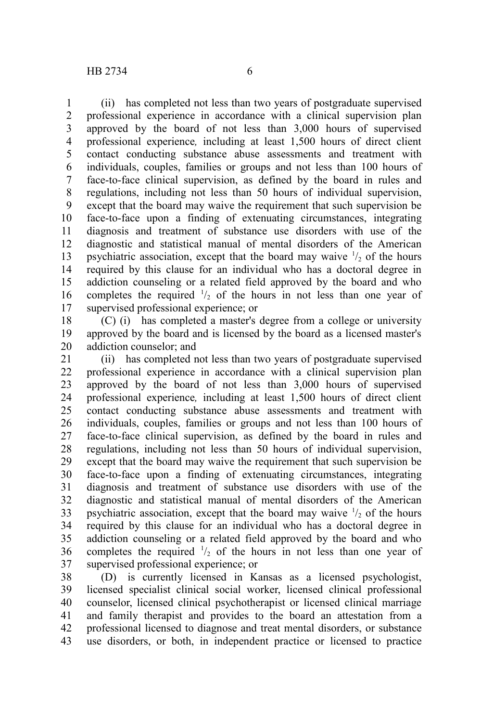(ii) has completed not less than two years of postgraduate supervised professional experience in accordance with a clinical supervision plan approved by the board of not less than 3,000 hours of supervised professional experience*,* including at least 1,500 hours of direct client contact conducting substance abuse assessments and treatment with individuals, couples, families or groups and not less than 100 hours of face-to-face clinical supervision, as defined by the board in rules and regulations, including not less than 50 hours of individual supervision, except that the board may waive the requirement that such supervision be face-to-face upon a finding of extenuating circumstances, integrating diagnosis and treatment of substance use disorders with use of the diagnostic and statistical manual of mental disorders of the American psychiatric association, except that the board may waive  $\frac{1}{2}$  of the hours required by this clause for an individual who has a doctoral degree in addiction counseling or a related field approved by the board and who completes the required  $\frac{1}{2}$  of the hours in not less than one year of supervised professional experience; or 1 2 3 4 5 6 7 8 9 10 11 12 13 14 15 16 17

(C) (i) has completed a master's degree from a college or university approved by the board and is licensed by the board as a licensed master's addiction counselor; and 18 19 20

(ii) has completed not less than two years of postgraduate supervised professional experience in accordance with a clinical supervision plan approved by the board of not less than 3,000 hours of supervised professional experience*,* including at least 1,500 hours of direct client contact conducting substance abuse assessments and treatment with individuals, couples, families or groups and not less than 100 hours of face-to-face clinical supervision, as defined by the board in rules and regulations, including not less than 50 hours of individual supervision, except that the board may waive the requirement that such supervision be face-to-face upon a finding of extenuating circumstances, integrating diagnosis and treatment of substance use disorders with use of the diagnostic and statistical manual of mental disorders of the American psychiatric association, except that the board may waive  $\frac{1}{2}$  of the hours required by this clause for an individual who has a doctoral degree in addiction counseling or a related field approved by the board and who completes the required  $\frac{1}{2}$  of the hours in not less than one year of supervised professional experience; or 21 22 23 24 25 26 27 28 29 30 31 32 33 34 35 36 37

(D) is currently licensed in Kansas as a licensed psychologist, licensed specialist clinical social worker, licensed clinical professional counselor, licensed clinical psychotherapist or licensed clinical marriage and family therapist and provides to the board an attestation from a professional licensed to diagnose and treat mental disorders, or substance use disorders, or both, in independent practice or licensed to practice 38 39 40 41 42 43